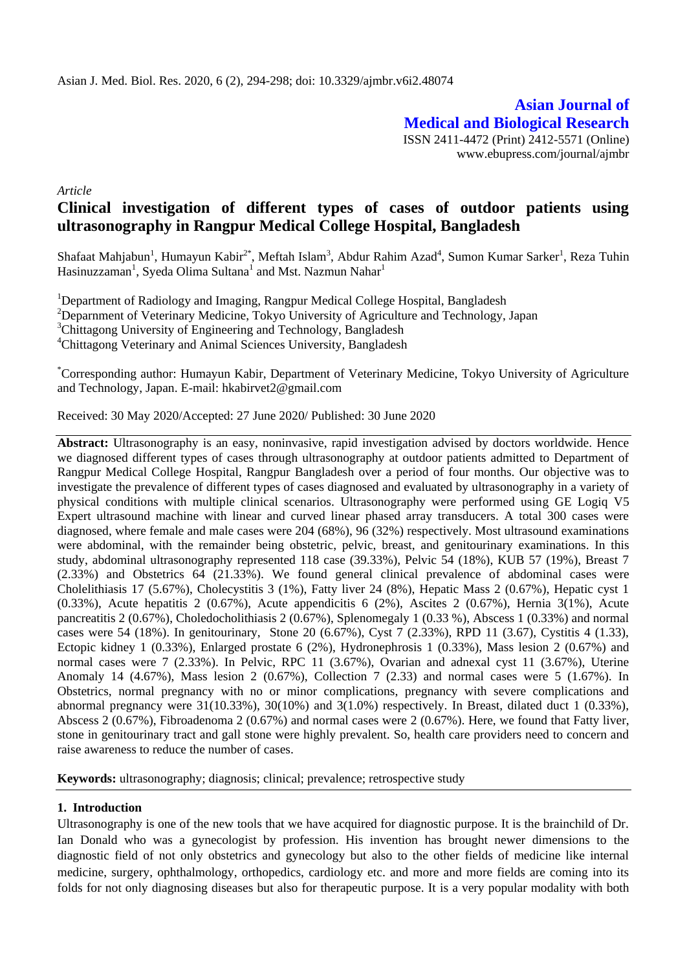**Asian Journal of Medical and Biological Research** ISSN 2411-4472 (Print) 2412-5571 (Online) www.ebupress.com/journal/ajmbr

*Article*

# **Clinical investigation of different types of cases of outdoor patients using ultrasonography in Rangpur Medical College Hospital, Bangladesh**

Shafaat Mahjabun<sup>1</sup>, Humayun Kabir<sup>2\*</sup>, Meftah Islam<sup>3</sup>, Abdur Rahim Azad<sup>4</sup>, Sumon Kumar Sarker<sup>1</sup>, Reza Tuhin Hasinuzzaman<sup>1</sup>, Syeda Olima Sultana<sup>1</sup> and Mst. Nazmun Nahar<sup>1</sup>

<sup>1</sup>Department of Radiology and Imaging, Rangpur Medical College Hospital, Bangladesh

<sup>2</sup>Deparnment of Veterinary Medicine, Tokyo University of Agriculture and Technology, Japan

<sup>3</sup>Chittagong University of Engineering and Technology, Bangladesh

<sup>4</sup>Chittagong Veterinary and Animal Sciences University, Bangladesh

\*Corresponding author: Humayun Kabir, Department of Veterinary Medicine, Tokyo University of Agriculture and Technology, Japan. E-mail: hkabirvet2@gmail.com

Received: 30 May 2020/Accepted: 27 June 2020/ Published: 30 June 2020

Abstract: Ultrasonography is an easy, noninvasive, rapid investigation advised by doctors worldwide. Hence we diagnosed different types of cases through ultrasonography at outdoor patients admitted to Department of Rangpur Medical College Hospital, Rangpur Bangladesh over a period of four months. Our objective was to investigate the prevalence of different types of cases diagnosed and evaluated by ultrasonography in a variety of physical conditions with multiple clinical scenarios. Ultrasonography were performed using GE Logiq V5 Expert ultrasound machine with linear and curved linear phased array transducers. A total 300 cases were diagnosed, where female and male cases were 204 (68%), 96 (32%) respectively. Most ultrasound examinations were abdominal, with the remainder being obstetric, pelvic, breast, and genitourinary examinations. In this study, abdominal ultrasonography represented 118 case (39.33%), Pelvic 54 (18%), KUB 57 (19%), Breast 7 (2.33%) and Obstetrics 64 (21.33%). We found general clinical prevalence of abdominal cases were Cholelithiasis 17 (5.67%), Cholecystitis 3 (1%), Fatty liver 24 (8%), Hepatic Mass 2 (0.67%), Hepatic cyst 1  $(0.33\%)$ , Acute hepatitis 2  $(0.67\%)$ , Acute appendicitis 6  $(2\%)$ , Ascites 2  $(0.67\%)$ , Hernia 3(1%), Acute pancreatitis 2 (0.67%), Choledocholithiasis 2 (0.67%), Splenomegaly 1 (0.33 %), Abscess 1 (0.33%) and normal cases were 54 (18%). In genitourinary, Stone 20 (6.67%), Cyst 7 (2.33%), RPD 11 (3.67), Cystitis 4 (1.33), Ectopic kidney 1 (0.33%), Enlarged prostate 6 (2%), Hydronephrosis 1 (0.33%), Mass lesion 2 (0.67%) and normal cases were 7 (2.33%). In Pelvic, RPC 11 (3.67%), Ovarian and adnexal cyst 11 (3.67%), Uterine Anomaly 14 (4.67%), Mass lesion 2 (0.67%), Collection 7 (2.33) and normal cases were 5 (1.67%). In Obstetrics, normal pregnancy with no or minor complications, pregnancy with severe complications and abnormal pregnancy were  $31(10.33\%)$ ,  $30(10\%)$  and  $3(1.0\%)$  respectively. In Breast, dilated duct 1 (0.33%), Abscess 2 (0.67%), Fibroadenoma 2 (0.67%) and normal cases were 2 (0.67%). Here, we found that Fatty liver, stone in genitourinary tract and gall stone were highly prevalent. So, health care providers need to concern and raise awareness to reduce the number of cases.

**Keywords:** ultrasonography; diagnosis; clinical; prevalence; retrospective study

# **1. Introduction**

Ultrasonography is one of the new tools that we have acquired for diagnostic purpose. It is the brainchild of Dr. Ian Donald who was a gynecologist by profession. His invention has brought newer dimensions to the diagnostic field of not only obstetrics and gynecology but also to the other fields of medicine like internal medicine, surgery, ophthalmology, orthopedics, cardiology etc. and more and more fields are coming into its folds for not only diagnosing diseases but also for therapeutic purpose. It is a very popular modality with both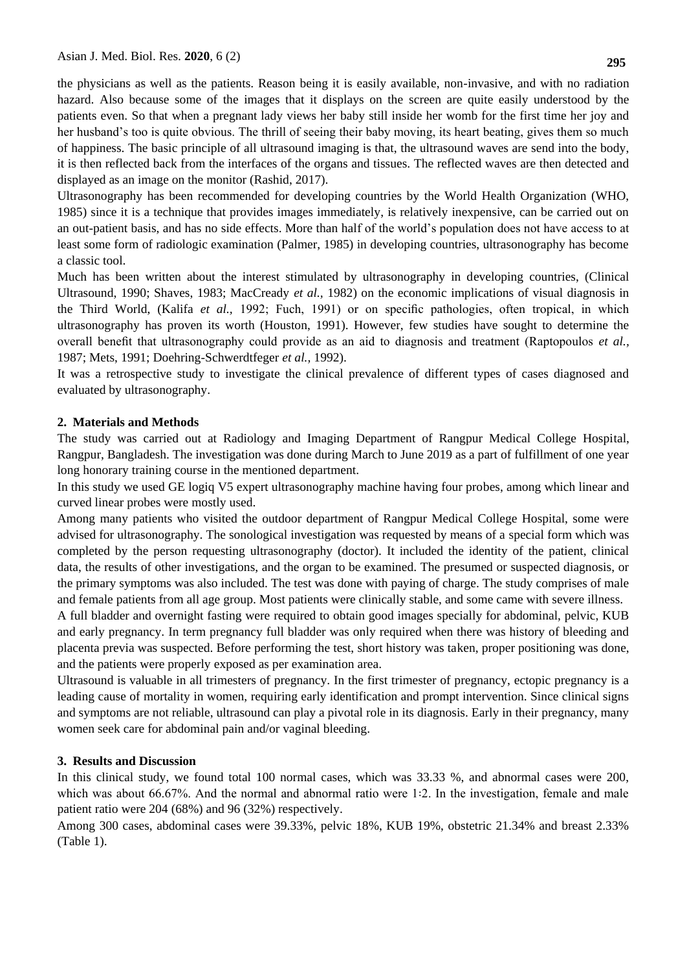the physicians as well as the patients. Reason being it is easily available, non-invasive, and with no radiation hazard. Also because some of the images that it displays on the screen are quite easily understood by the patients even. So that when a pregnant lady views her baby still inside her womb for the first time her joy and her husband's too is quite obvious. The thrill of seeing their baby moving, its heart beating, gives them so much of happiness. The basic principle of all ultrasound imaging is that, the ultrasound waves are send into the body, it is then reflected back from the interfaces of the organs and tissues. The reflected waves are then detected and displayed as an image on the monitor (Rashid, 2017).

Ultrasonography has been recommended for developing countries by the World Health Organization (WHO, 1985) since it is a technique that provides images immediately, is relatively inexpensive, can be carried out on an out-patient basis, and has no side effects. More than half of the world's population does not have access to at least some form of radiologic examination (Palmer, 1985) in developing countries, ultrasonography has become a classic tool.

Much has been written about the interest stimulated by ultrasonography in developing countries, (Clinical Ultrasound, 1990; Shaves, 1983; MacCready *et al.,* 1982) on the economic implications of visual diagnosis in the Third World, (Kalifa *et al.,* 1992; Fuch, 1991) or on specific pathologies, often tropical, in which ultrasonography has proven its worth (Houston, 1991). However, few studies have sought to determine the overall benefit that ultrasonography could provide as an aid to diagnosis and treatment (Raptopoulos *et al.,* 1987; Mets, 1991; Doehring-Schwerdtfeger *et al.,* 1992).

It was a retrospective study to investigate the clinical prevalence of different types of cases diagnosed and evaluated by ultrasonography.

## **2. Materials and Methods**

The study was carried out at Radiology and Imaging Department of Rangpur Medical College Hospital, Rangpur, Bangladesh. The investigation was done during March to June 2019 as a part of fulfillment of one year long honorary training course in the mentioned department.

In this study we used GE logiq V5 expert ultrasonography machine having four probes, among which linear and curved linear probes were mostly used.

Among many patients who visited the outdoor department of Rangpur Medical College Hospital, some were advised for ultrasonography. The sonological investigation was requested by means of a special form which was completed by the person requesting ultrasonography (doctor). It included the identity of the patient, clinical data, the results of other investigations, and the organ to be examined. The presumed or suspected diagnosis, or the primary symptoms was also included. The test was done with paying of charge. The study comprises of male and female patients from all age group. Most patients were clinically stable, and some came with severe illness.

A full bladder and overnight fasting were required to obtain good images specially for abdominal, pelvic, KUB and early pregnancy. In term pregnancy full bladder was only required when there was history of bleeding and placenta previa was suspected. Before performing the test, short history was taken, proper positioning was done, and the patients were properly exposed as per examination area.

Ultrasound is valuable in all trimesters of pregnancy. In the first trimester of pregnancy, ectopic pregnancy is a leading cause of mortality in women, requiring early identification and prompt intervention. Since clinical signs and symptoms are not reliable, ultrasound can play a pivotal role in its diagnosis. Early in their pregnancy, many women seek care for abdominal pain and/or vaginal bleeding.

## **3. Results and Discussion**

In this clinical study, we found total 100 normal cases, which was 33.33 %, and abnormal cases were 200, which was about 66.67%. And the normal and abnormal ratio were  $1:2$ . In the investigation, female and male patient ratio were 204 (68%) and 96 (32%) respectively.

Among 300 cases, abdominal cases were 39.33%, pelvic 18%, KUB 19%, obstetric 21.34% and breast 2.33% (Table 1).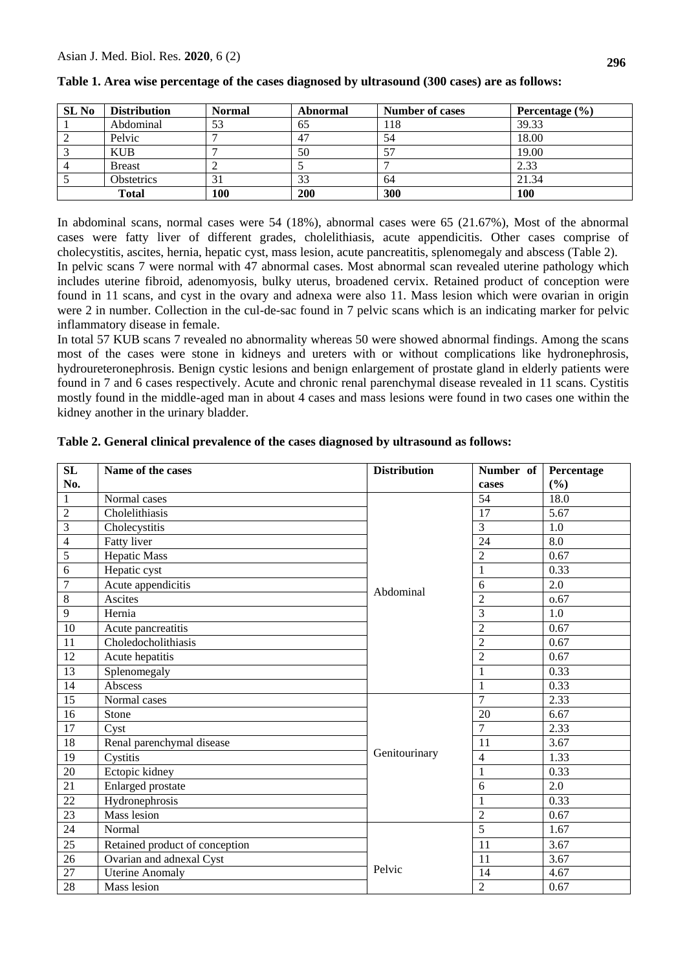| SL <sub>No</sub> | <b>Distribution</b> | <b>Normal</b> | Abnormal | <b>Number of cases</b> | Percentage $(\% )$ |
|------------------|---------------------|---------------|----------|------------------------|--------------------|
|                  | Abdominal           | 53            | 65       | 18                     | 39.33              |
|                  | Pelvic              |               | 47       | 54                     | 18.00              |
|                  | KUB                 |               | 50       |                        | 19.00              |
|                  | <b>Breast</b>       |               |          |                        | 2.33               |
|                  | <b>Obstetrics</b>   | 31            | 33       | -64                    | 21.34              |
| <b>Total</b>     |                     | 100           | 200      | 300                    | 100                |

|  | Table 1. Area wise percentage of the cases diagnosed by ultrasound (300 cases) are as follows: |  |
|--|------------------------------------------------------------------------------------------------|--|

In abdominal scans, normal cases were 54 (18%), abnormal cases were 65 (21.67%), Most of the abnormal cases were fatty liver of different grades, cholelithiasis, acute appendicitis. Other cases comprise of cholecystitis, ascites, hernia, hepatic cyst, mass lesion, acute pancreatitis, splenomegaly and abscess (Table 2). In pelvic scans 7 were normal with 47 abnormal cases. Most abnormal scan revealed uterine pathology which includes uterine fibroid, adenomyosis, bulky uterus, broadened cervix. Retained product of conception were found in 11 scans, and cyst in the ovary and adnexa were also 11. Mass lesion which were ovarian in origin were 2 in number. Collection in the cul-de-sac found in 7 pelvic scans which is an indicating marker for pelvic inflammatory disease in female.

In total 57 KUB scans 7 revealed no abnormality whereas 50 were showed abnormal findings. Among the scans most of the cases were stone in kidneys and ureters with or without complications like hydronephrosis, hydroureteronephrosis. Benign cystic lesions and benign enlargement of prostate gland in elderly patients were found in 7 and 6 cases respectively. Acute and chronic renal parenchymal disease revealed in 11 scans. Cystitis mostly found in the middle-aged man in about 4 cases and mass lesions were found in two cases one within the kidney another in the urinary bladder.

| <b>SL</b>       | Name of the cases              | <b>Distribution</b> | Number of       | Percentage |
|-----------------|--------------------------------|---------------------|-----------------|------------|
| No.             |                                |                     | cases           | (%)        |
| $\mathbf{1}$    | Normal cases                   |                     | 54              | 18.0       |
| $\overline{2}$  | Cholelithiasis                 |                     | 17              | 5.67       |
| $\overline{3}$  | Cholecystitis                  |                     | $\overline{3}$  | 1.0        |
| $\overline{4}$  | Fatty liver                    |                     | $\overline{24}$ | 8.0        |
| 5               | <b>Hepatic Mass</b>            |                     | $\overline{2}$  | 0.67       |
| $\overline{6}$  | Hepatic cyst                   |                     | $\mathbf{1}$    | 0.33       |
| $\overline{7}$  | Acute appendicitis             | Abdominal           | 6               | 2.0        |
| 8               | Ascites                        |                     | $\overline{2}$  | 0.67       |
| 9               | Hernia                         |                     | $\overline{3}$  | 1.0        |
| 10              | Acute pancreatitis             |                     | $\overline{2}$  | 0.67       |
| 11              | Choledocholithiasis            |                     | $\overline{2}$  | 0.67       |
| 12              | Acute hepatitis                |                     | $\overline{2}$  | 0.67       |
| 13              | Splenomegaly                   |                     | $\mathbf{1}$    | 0.33       |
| 14              | Abscess                        |                     | $\mathbf{1}$    | 0.33       |
| 15              | Normal cases                   |                     | $\overline{7}$  | 2.33       |
| 16              | Stone                          |                     | 20              | 6.67       |
| $17\,$          | Cyst                           |                     | $\overline{7}$  | 2.33       |
| $18\,$          | Renal parenchymal disease      |                     | 11              | 3.67       |
| 19              | Cystitis                       | Genitourinary       | $\overline{4}$  | 1.33       |
| 20              | Ectopic kidney                 |                     | $\mathbf{1}$    | 0.33       |
| 21              | Enlarged prostate              |                     | 6               | 2.0        |
| $\overline{22}$ | Hydronephrosis                 |                     | 1               | 0.33       |
| 23              | <b>Mass</b> lesion             |                     | $\overline{2}$  | 0.67       |
| 24              | Normal                         |                     | 5               | 1.67       |
| 25              | Retained product of conception |                     | 11              | 3.67       |
| $26\,$          | Ovarian and adnexal Cyst       |                     | 11              | 3.67       |
| $\overline{27}$ | <b>Uterine Anomaly</b>         | Pelvic              | 14              | 4.67       |
| 28              | Mass lesion                    |                     | $\overline{c}$  | 0.67       |

**Table 2. General clinical prevalence of the cases diagnosed by ultrasound as follows:**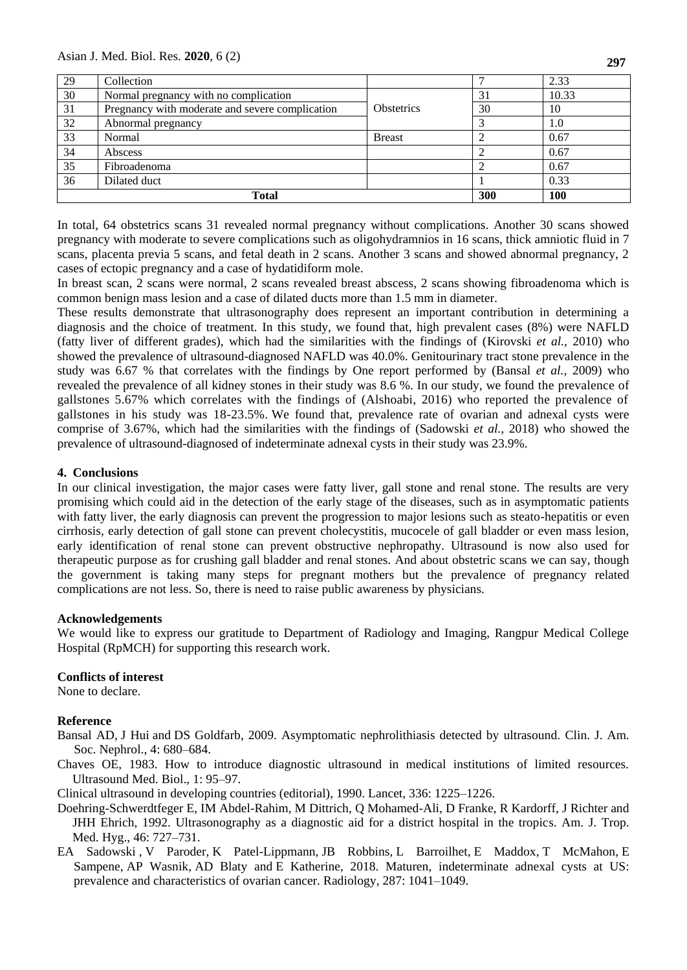Asian J. Med. Biol. Res. **2020**, 6 (2)

| 29 | Collection                                      |                   |    | 2.33       |
|----|-------------------------------------------------|-------------------|----|------------|
| 30 | Normal pregnancy with no complication           |                   | 31 | 10.33      |
| 31 | Pregnancy with moderate and severe complication | <b>Obstetrics</b> |    | 10         |
| 32 | Abnormal pregnancy                              |                   |    | 1.0        |
| 33 | Normal                                          | <b>Breast</b>     |    | 0.67       |
| 34 | Abscess                                         |                   |    | 0.67       |
| 35 | Fibroadenoma                                    |                   |    | 0.67       |
| 36 | Dilated duct                                    |                   |    | 0.33       |
|    | <b>Total</b>                                    |                   |    | <b>100</b> |

In total, 64 obstetrics scans 31 revealed normal pregnancy without complications. Another 30 scans showed pregnancy with moderate to severe complications such as oligohydramnios in 16 scans, thick amniotic fluid in 7 scans, placenta previa 5 scans, and fetal death in 2 scans. Another 3 scans and showed abnormal pregnancy, 2 cases of ectopic pregnancy and a case of hydatidiform mole.

In breast scan, 2 scans were normal, 2 scans revealed breast abscess, 2 scans showing fibroadenoma which is common benign mass lesion and a case of dilated ducts more than 1.5 mm in diameter.

These results demonstrate that ultrasonography does represent an important contribution in determining a diagnosis and the choice of treatment. In this study, we found that, high prevalent cases (8%) were NAFLD (fatty liver of different grades), which had the similarities with the findings of [\(Kirovski](https://www.ncbi.nlm.nih.gov/pubmed/?term=Kirovski%20G%5BAuthor%5D&cauthor=true&cauthor_uid=20827318) *et al.,* 2010) who showed the prevalence of ultrasound-diagnosed NAFLD was 40.0%. Genitourinary tract stone prevalence in the study was 6.67 % that correlates with the findings by One report performed by [\(Bansal](https://www.ncbi.nlm.nih.gov/pubmed/?term=Bansal%20AD%5BAuthor%5D&cauthor=true&cauthor_uid=19261817) *et al.,* 2009) who revealed the prevalence of all kidney stones in their study was 8.6 %. In our study, we found the prevalence of gallstones 5.67% which correlates with the findings of (Alshoabi, 2016) who reported the prevalence of gallstones in his study was 18-23.5%. We found that, prevalence rate of ovarian and adnexal cysts were comprise of 3.67%, which had the similarities with the findings of [\(Sadowski](https://pubs.rsna.org/author/Sadowski%2C+Elizabeth+A) *et al.,* 2018) who showed the prevalence of ultrasound-diagnosed of indeterminate adnexal cysts in their study was 23.9%.

## **4. Conclusions**

In our clinical investigation, the major cases were fatty liver, gall stone and renal stone. The results are very promising which could aid in the detection of the early stage of the diseases, such as in asymptomatic patients with fatty liver, the early diagnosis can prevent the progression to major lesions such as steato-hepatitis or even cirrhosis, early detection of gall stone can prevent cholecystitis, mucocele of gall bladder or even mass lesion, early identification of renal stone can prevent obstructive nephropathy. Ultrasound is now also used for therapeutic purpose as for crushing gall bladder and renal stones. And about obstetric scans we can say, though the government is taking many steps for pregnant mothers but the prevalence of pregnancy related complications are not less. So, there is need to raise public awareness by physicians.

## **Acknowledgements**

We would like to express our gratitude to Department of Radiology and Imaging, Rangpur Medical College Hospital (RpMCH) for supporting this research work.

# **Conflicts of interest**

None to declare.

## **Reference**

- [Bansal](https://www.ncbi.nlm.nih.gov/pubmed/?term=Bansal%20AD%5BAuthor%5D&cauthor=true&cauthor_uid=19261817) AD, [J Hui](https://www.ncbi.nlm.nih.gov/pubmed/?term=Hui%20J%5BAuthor%5D&cauthor=true&cauthor_uid=19261817) and [DS Goldfarb,](https://www.ncbi.nlm.nih.gov/pubmed/?term=Goldfarb%20DS%5BAuthor%5D&cauthor=true&cauthor_uid=19261817) 2009. Asymptomatic nephrolithiasis detected by ultrasound. Clin. J. Am. Soc. Nephrol., 4: 680–684.
- Chaves OE, 1983. How to introduce diagnostic ultrasound in medical institutions of limited resources. Ultrasound Med. Biol., 1: 95–97.

Clinical ultrasound in developing countries (editorial), 1990. Lancet, 336: 1225–1226.

- Doehring-Schwerdtfeger E, IM Abdel-Rahim, M Dittrich, Q Mohamed-Ali, D Franke, R Kardorff, J Richter and JHH Ehrich, 1992. Ultrasonography as a diagnostic aid for a district hospital in the tropics. Am. J. Trop. Med. Hyg., 46: 727–731.
- [EA Sadowski](https://pubs.rsna.org/author/Sadowski%2C+Elizabeth+A) , [V Paroder,](https://pubs.rsna.org/author/Paroder%2C+Viktoriya) [K Patel-Lippmann,](https://pubs.rsna.org/author/Patel-Lippmann%2C+Krupa) [JB Robbins,](https://pubs.rsna.org/author/Robbins%2C+Jessica+B) [L Barroilhet,](https://pubs.rsna.org/author/Barroilhet%2C+Lisa) [E Maddox,](https://pubs.rsna.org/author/Maddox%2C+Elizabeth) [T McMahon,](https://pubs.rsna.org/author/McMahon%2C+Timothy) [E](https://pubs.rsna.org/author/Sampene%2C+Emmanuel)  [Sampene,](https://pubs.rsna.org/author/Sampene%2C+Emmanuel) [AP Wasnik,](https://pubs.rsna.org/author/Wasnik%2C+Ashish+P) [AD Blaty](https://pubs.rsna.org/author/Blaty%2C+Alexander+D) and E [Katherine, 2018. Maturen,](https://pubs.rsna.org/author/Maturen%2C+Katherine+E) indeterminate adnexal cysts at US: prevalence and characteristics of ovarian cancer. Radiology, 287: 1041–1049.